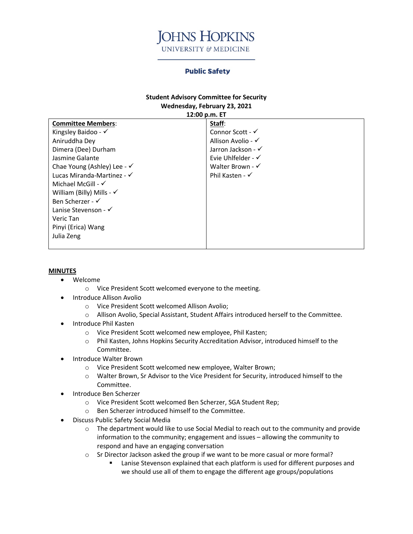

## **Public Safety**

## **Student Advisory Committee for Security Wednesday, February 23, 2021**

| 12:00 p.m. ET                        |                               |
|--------------------------------------|-------------------------------|
| <b>Committee Members:</b>            | Staff:                        |
| Kingsley Baidoo - $\checkmark$       | Connor Scott - √              |
| Aniruddha Dey                        | Allison Avolio - $\checkmark$ |
| Dimera (Dee) Durham                  | Jarron Jackson - √            |
| Jasmine Galante                      | Evie Uhlfelder - $\checkmark$ |
| Chae Young (Ashley) Lee - √          | Walter Brown - $\checkmark$   |
| Lucas Miranda-Martinez - √           | Phil Kasten - $\checkmark$    |
| Michael McGill - $\checkmark$        |                               |
| William (Billy) Mills - $\checkmark$ |                               |
| Ben Scherzer - √                     |                               |
| Lanise Stevenson - $\checkmark$      |                               |
| Veric Tan                            |                               |
| Pinyi (Erica) Wang                   |                               |
| Julia Zeng                           |                               |
|                                      |                               |

## **MINUTES**

- Welcome
	- o Vice President Scott welcomed everyone to the meeting.
- Introduce Allison Avolio
	- o Vice President Scott welcomed Allison Avolio;
	- o Allison Avolio, Special Assistant, Student Affairs introduced herself to the Committee.
- Introduce Phil Kasten
	- o Vice President Scott welcomed new employee, Phil Kasten;
	- o Phil Kasten, Johns Hopkins Security Accreditation Advisor, introduced himself to the Committee.
- Introduce Walter Brown
	- o Vice President Scott welcomed new employee, Walter Brown;
	- o Walter Brown, Sr Advisor to the Vice President for Security, introduced himself to the Committee.
- Introduce Ben Scherzer
	- o Vice President Scott welcomed Ben Scherzer, SGA Student Rep;
	- o Ben Scherzer introduced himself to the Committee.
- Discuss Public Safety Social Media
	- o The department would like to use Social Medial to reach out to the community and provide information to the community; engagement and issues – allowing the community to respond and have an engaging conversation
	- o Sr Director Jackson asked the group if we want to be more casual or more formal?
		- Lanise Stevenson explained that each platform is used for different purposes and we should use all of them to engage the different age groups/populations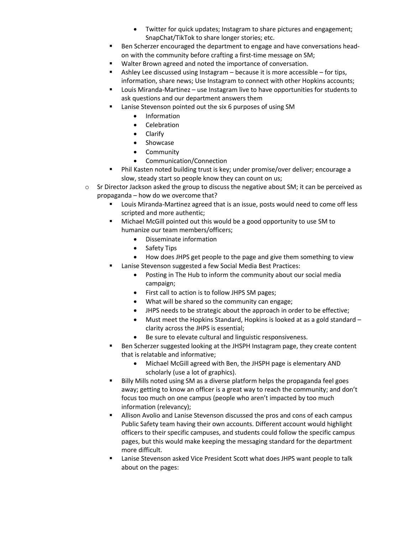- Twitter for quick updates; Instagram to share pictures and engagement; SnapChat/TikTok to share longer stories; etc.
- Ben Scherzer encouraged the department to engage and have conversations headon with the community before crafting a first-time message on SM;
- Walter Brown agreed and noted the importance of conversation.
- Ashley Lee discussed using Instagram because it is more accessible for tips, information, share news; Use Instagram to connect with other Hopkins accounts;
- Louis Miranda-Martinez use Instagram live to have opportunities for students to ask questions and our department answers them
- Lanise Stevenson pointed out the six 6 purposes of using SM
	- Information
	- Celebration
	- Clarify
	- Showcase
	- Community
	- Communication/Connection
- Phil Kasten noted building trust is key; under promise/over deliver; encourage a slow, steady start so people know they can count on us;
- $\circ$  Sr Director Jackson asked the group to discuss the negative about SM; it can be perceived as propaganda – how do we overcome that?
	- Louis Miranda-Martinez agreed that is an issue, posts would need to come off less scripted and more authentic;
	- Michael McGill pointed out this would be a good opportunity to use SM to humanize our team members/officers;
		- Disseminate information
		- Safety Tips
		- How does JHPS get people to the page and give them something to view
	- Lanise Stevenson suggested a few Social Media Best Practices:
		- Posting in The Hub to inform the community about our social media campaign;
		- First call to action is to follow JHPS SM pages;
		- What will be shared so the community can engage;
		- JHPS needs to be strategic about the approach in order to be effective;
		- Must meet the Hopkins Standard, Hopkins is looked at as a gold standard clarity across the JHPS is essential;
		- Be sure to elevate cultural and linguistic responsiveness.
	- Ben Scherzer suggested looking at the JHSPH Instagram page, they create content that is relatable and informative;
		- Michael McGill agreed with Ben, the JHSPH page is elementary AND scholarly (use a lot of graphics).
	- Billy Mills noted using SM as a diverse platform helps the propaganda feel goes away; getting to know an officer is a great way to reach the community; and don't focus too much on one campus (people who aren't impacted by too much information (relevancy);
	- Allison Avolio and Lanise Stevenson discussed the pros and cons of each campus Public Safety team having their own accounts. Different account would highlight officers to their specific campuses, and students could follow the specific campus pages, but this would make keeping the messaging standard for the department more difficult.
	- Lanise Stevenson asked Vice President Scott what does JHPS want people to talk about on the pages: